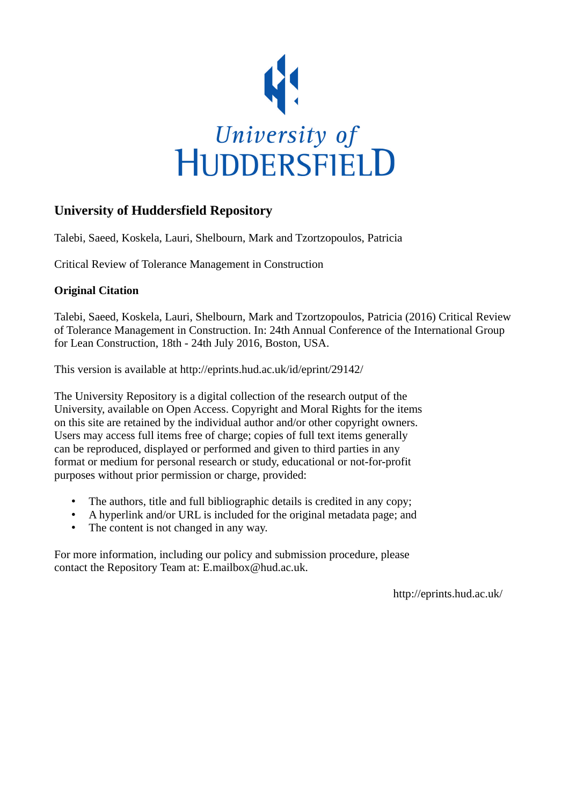

# **University of Huddersfield Repository**

Talebi, Saeed, Koskela, Lauri, Shelbourn, Mark and Tzortzopoulos, Patricia

Critical Review of Tolerance Management in Construction

#### **Original Citation**

Talebi, Saeed, Koskela, Lauri, Shelbourn, Mark and Tzortzopoulos, Patricia (2016) Critical Review of Tolerance Management in Construction. In: 24th Annual Conference of the International Group for Lean Construction, 18th - 24th July 2016, Boston, USA.

This version is available at http://eprints.hud.ac.uk/id/eprint/29142/

The University Repository is a digital collection of the research output of the University, available on Open Access. Copyright and Moral Rights for the items on this site are retained by the individual author and/or other copyright owners. Users may access full items free of charge; copies of full text items generally can be reproduced, displayed or performed and given to third parties in any format or medium for personal research or study, educational or not-for-profit purposes without prior permission or charge, provided:

- The authors, title and full bibliographic details is credited in any copy;
- A hyperlink and/or URL is included for the original metadata page; and
- The content is not changed in any way.

For more information, including our policy and submission procedure, please contact the Repository Team at: E.mailbox@hud.ac.uk.

http://eprints.hud.ac.uk/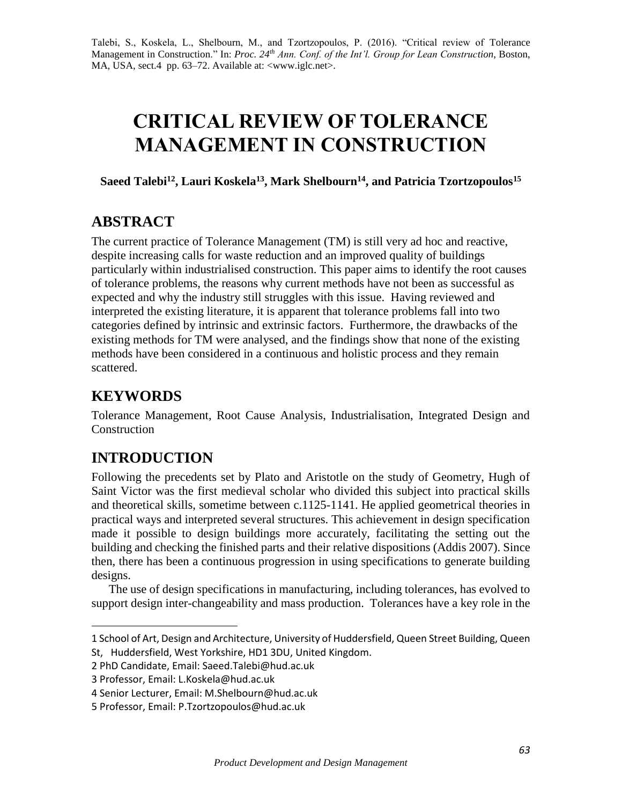Talebi, S., Koskela, L., Shelbourn, M., and Tzortzopoulos, P. (2016). "Critical review of Tolerance Management in Construction." In: *Proc. 24th Ann. Conf. of the Int'l. Group for Lean Construction*, Boston, MA, USA, sect.4 pp. 63–72. Available at: <www.iglc.net>.

# **CRITICAL REVIEW OF TOLERANCE MANAGEMENT IN CONSTRUCTION**

**Saeed Talebi<sup>12</sup> , Lauri Koskela<sup>13</sup>, Mark Shelbourn<sup>14</sup>, and Patricia Tzortzopoulos<sup>15</sup>**

# **ABSTRACT**

The current practice of Tolerance Management (TM) is still very ad hoc and reactive, despite increasing calls for waste reduction and an improved quality of buildings particularly within industrialised construction. This paper aims to identify the root causes of tolerance problems, the reasons why current methods have not been as successful as expected and why the industry still struggles with this issue. Having reviewed and interpreted the existing literature, it is apparent that tolerance problems fall into two categories defined by intrinsic and extrinsic factors. Furthermore, the drawbacks of the existing methods for TM were analysed, and the findings show that none of the existing methods have been considered in a continuous and holistic process and they remain scattered.

# **KEYWORDS**

 $\overline{\phantom{a}}$ 

Tolerance Management, Root Cause Analysis, Industrialisation, Integrated Design and **Construction** 

# **INTRODUCTION**

Following the precedents set by Plato and Aristotle on the study of Geometry, Hugh of Saint Victor was the first medieval scholar who divided this subject into practical skills and theoretical skills, sometime between c.1125-1141. He applied geometrical theories in practical ways and interpreted several structures. This achievement in design specification made it possible to design buildings more accurately, facilitating the setting out the building and checking the finished parts and their relative dispositions (Addis 2007). Since then, there has been a continuous progression in using specifications to generate building designs.

The use of design specifications in manufacturing, including tolerances, has evolved to support design inter-changeability and mass production. Tolerances have a key role in the

<sup>1</sup> School of Art, Design and Architecture, University of Huddersfield, Queen Street Building, Queen St, Huddersfield, West Yorkshire, HD1 3DU, United Kingdom.

<sup>2</sup> PhD Candidate, Email: Saeed.Talebi@hud.ac.uk

<sup>3</sup> Professor, Email: L.Koskela@hud.ac.uk

<sup>4</sup> Senior Lecturer, Email: M.Shelbourn@hud.ac.uk

<sup>5</sup> Professor, Email: P.Tzortzopoulos@hud.ac.uk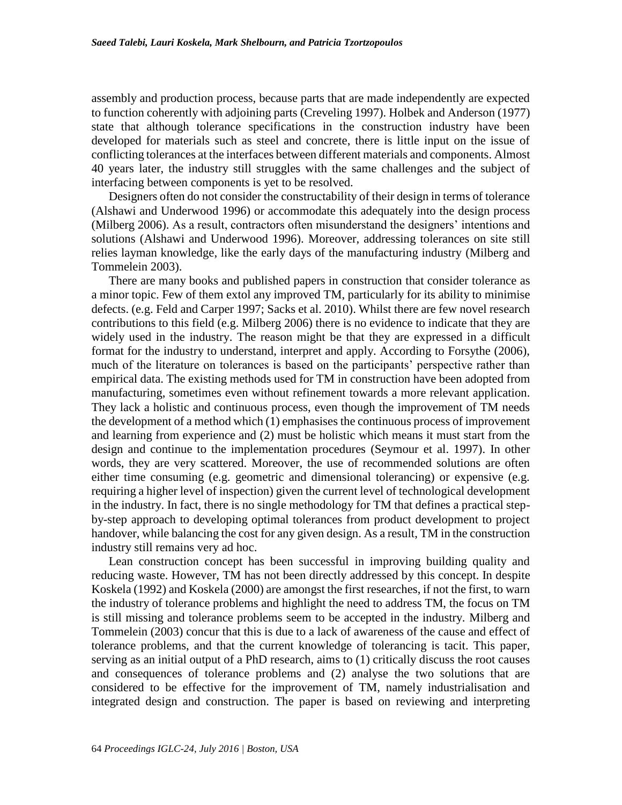assembly and production process, because parts that are made independently are expected to function coherently with adjoining parts (Creveling 1997). Holbek and Anderson (1977) state that although tolerance specifications in the construction industry have been developed for materials such as steel and concrete, there is little input on the issue of conflicting tolerances at the interfaces between different materials and components. Almost 40 years later, the industry still struggles with the same challenges and the subject of interfacing between components is yet to be resolved.

Designers often do not consider the constructability of their design in terms of tolerance (Alshawi and Underwood 1996) or accommodate this adequately into the design process (Milberg 2006). As a result, contractors often misunderstand the designers' intentions and solutions (Alshawi and Underwood 1996). Moreover, addressing tolerances on site still relies layman knowledge, like the early days of the manufacturing industry (Milberg and Tommelein 2003).

There are many books and published papers in construction that consider tolerance as a minor topic. Few of them extol any improved TM, particularly for its ability to minimise defects. (e.g. Feld and Carper 1997; Sacks et al. 2010). Whilst there are few novel research contributions to this field (e.g. Milberg 2006) there is no evidence to indicate that they are widely used in the industry. The reason might be that they are expressed in a difficult format for the industry to understand, interpret and apply. According to Forsythe (2006), much of the literature on tolerances is based on the participants' perspective rather than empirical data. The existing methods used for TM in construction have been adopted from manufacturing, sometimes even without refinement towards a more relevant application. They lack a holistic and continuous process, even though the improvement of TM needs the development of a method which (1) emphasises the continuous process of improvement and learning from experience and (2) must be holistic which means it must start from the design and continue to the implementation procedures (Seymour et al. 1997). In other words, they are very scattered. Moreover, the use of recommended solutions are often either time consuming (e.g. geometric and dimensional tolerancing) or expensive (e.g. requiring a higher level of inspection) given the current level of technological development in the industry. In fact, there is no single methodology for TM that defines a practical stepby-step approach to developing optimal tolerances from product development to project handover, while balancing the cost for any given design. As a result, TM in the construction industry still remains very ad hoc.

Lean construction concept has been successful in improving building quality and reducing waste. However, TM has not been directly addressed by this concept. In despite Koskela (1992) and Koskela (2000) are amongst the first researches, if not the first, to warn the industry of tolerance problems and highlight the need to address TM, the focus on TM is still missing and tolerance problems seem to be accepted in the industry. Milberg and Tommelein (2003) concur that this is due to a lack of awareness of the cause and effect of tolerance problems, and that the current knowledge of tolerancing is tacit. This paper, serving as an initial output of a PhD research, aims to (1) critically discuss the root causes and consequences of tolerance problems and (2) analyse the two solutions that are considered to be effective for the improvement of TM, namely industrialisation and integrated design and construction. The paper is based on reviewing and interpreting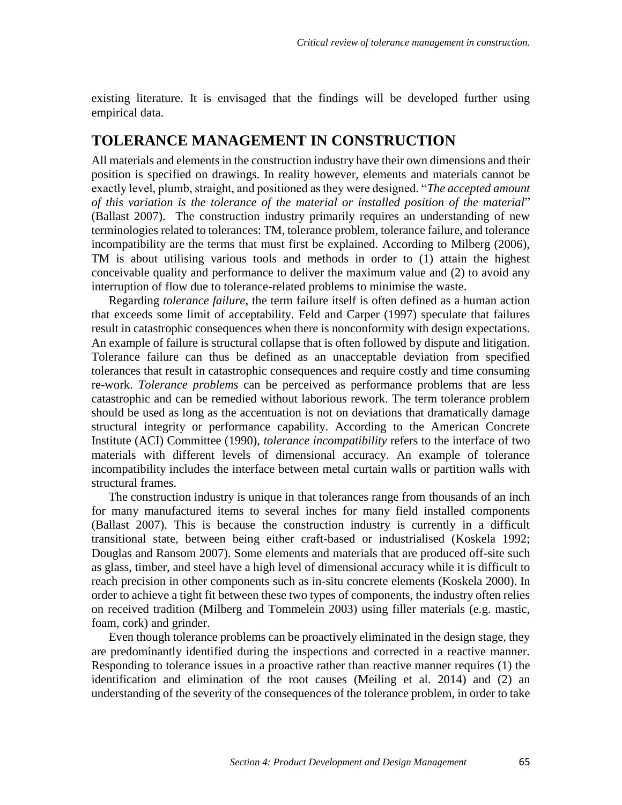existing literature. It is envisaged that the findings will be developed further using empirical data.

#### **TOLERANCE MANAGEMENT IN CONSTRUCTION**

All materials and elements in the construction industry have their own dimensions and their position is specified on drawings. In reality however, elements and materials cannot be exactly level, plumb, straight, and positioned as they were designed. "*The accepted amount of this variation is the tolerance of the material or installed position of the material*" (Ballast 2007). The construction industry primarily requires an understanding of new terminologies related to tolerances: TM, tolerance problem, tolerance failure, and tolerance incompatibility are the terms that must first be explained. According to Milberg (2006), TM is about utilising various tools and methods in order to (1) attain the highest conceivable quality and performance to deliver the maximum value and (2) to avoid any interruption of flow due to tolerance-related problems to minimise the waste.

Regarding *tolerance failure*, the term failure itself is often defined as a human action that exceeds some limit of acceptability. Feld and Carper (1997) speculate that failures result in catastrophic consequences when there is nonconformity with design expectations. An example of failure is structural collapse that is often followed by dispute and litigation. Tolerance failure can thus be defined as an unacceptable deviation from specified tolerances that result in catastrophic consequences and require costly and time consuming re-work. *Tolerance problems* can be perceived as performance problems that are less catastrophic and can be remedied without laborious rework. The term tolerance problem should be used as long as the accentuation is not on deviations that dramatically damage structural integrity or performance capability. According to the American Concrete Institute (ACI) Committee (1990), *tolerance incompatibility* refers to the interface of two materials with different levels of dimensional accuracy. An example of tolerance incompatibility includes the interface between metal curtain walls or partition walls with structural frames.

The construction industry is unique in that tolerances range from thousands of an inch for many manufactured items to several inches for many field installed components (Ballast 2007). This is because the construction industry is currently in a difficult transitional state, between being either craft-based or industrialised (Koskela 1992; Douglas and Ransom 2007). Some elements and materials that are produced off-site such as glass, timber, and steel have a high level of dimensional accuracy while it is difficult to reach precision in other components such as in-situ concrete elements (Koskela 2000). In order to achieve a tight fit between these two types of components, the industry often relies on received tradition (Milberg and Tommelein 2003) using filler materials (e.g. mastic, foam, cork) and grinder.

Even though tolerance problems can be proactively eliminated in the design stage, they are predominantly identified during the inspections and corrected in a reactive manner. Responding to tolerance issues in a proactive rather than reactive manner requires (1) the identification and elimination of the root causes (Meiling et al. 2014) and (2) an understanding of the severity of the consequences of the tolerance problem, in order to take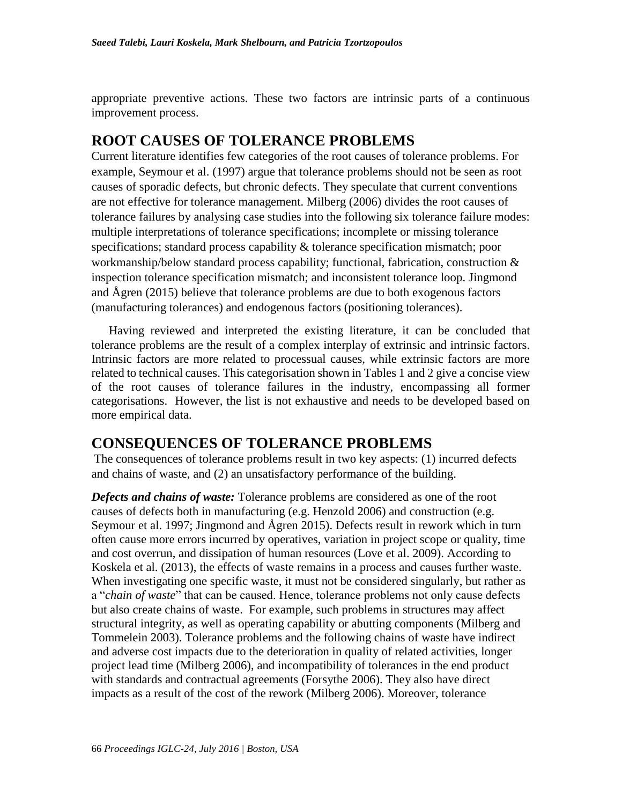appropriate preventive actions. These two factors are intrinsic parts of a continuous improvement process.

# **ROOT CAUSES OF TOLERANCE PROBLEMS**

Current literature identifies few categories of the root causes of tolerance problems. For example, Seymour et al. (1997) argue that tolerance problems should not be seen as root causes of sporadic defects, but chronic defects. They speculate that current conventions are not effective for tolerance management. Milberg (2006) divides the root causes of tolerance failures by analysing case studies into the following six tolerance failure modes: multiple interpretations of tolerance specifications; incomplete or missing tolerance specifications; standard process capability & tolerance specification mismatch; poor workmanship/below standard process capability; functional, fabrication, construction & inspection tolerance specification mismatch; and inconsistent tolerance loop. Jingmond and Ågren (2015) believe that tolerance problems are due to both exogenous factors (manufacturing tolerances) and endogenous factors (positioning tolerances).

Having reviewed and interpreted the existing literature, it can be concluded that tolerance problems are the result of a complex interplay of extrinsic and intrinsic factors. Intrinsic factors are more related to processual causes, while extrinsic factors are more related to technical causes. This categorisation shown in Tables 1 and 2 give a concise view of the root causes of tolerance failures in the industry, encompassing all former categorisations. However, the list is not exhaustive and needs to be developed based on more empirical data.

# **CONSEQUENCES OF TOLERANCE PROBLEMS**

The consequences of tolerance problems result in two key aspects: (1) incurred defects and chains of waste, and (2) an unsatisfactory performance of the building.

*Defects and chains of waste:* Tolerance problems are considered as one of the root causes of defects both in manufacturing (e.g. Henzold 2006) and construction (e.g. Seymour et al. 1997; Jingmond and Ågren 2015). Defects result in rework which in turn often cause more errors incurred by operatives, variation in project scope or quality, time and cost overrun, and dissipation of human resources (Love et al. 2009). According to Koskela et al. (2013), the effects of waste remains in a process and causes further waste. When investigating one specific waste, it must not be considered singularly, but rather as a "*chain of waste*" that can be caused. Hence, tolerance problems not only cause defects but also create chains of waste. For example, such problems in structures may affect structural integrity, as well as operating capability or abutting components (Milberg and Tommelein 2003). Tolerance problems and the following chains of waste have indirect and adverse cost impacts due to the deterioration in quality of related activities, longer project lead time (Milberg 2006), and incompatibility of tolerances in the end product with standards and contractual agreements (Forsythe 2006). They also have direct impacts as a result of the cost of the rework (Milberg 2006). Moreover, tolerance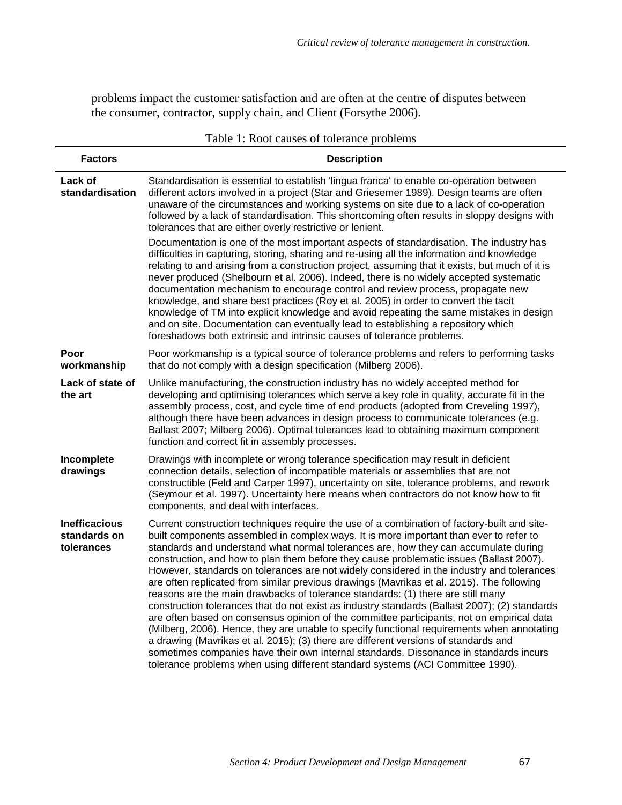problems impact the customer satisfaction and are often at the centre of disputes between the consumer, contractor, supply chain, and Client (Forsythe 2006).

|                                                    | racio 1. Root causes of tolerance proclems                                                                                                                                                                                                                                                                                                                                                                                                                                                                                                                                                                                                                                                                                                                                                                                                                                                                                                                                                                                                                                                                                                                                                                         |
|----------------------------------------------------|--------------------------------------------------------------------------------------------------------------------------------------------------------------------------------------------------------------------------------------------------------------------------------------------------------------------------------------------------------------------------------------------------------------------------------------------------------------------------------------------------------------------------------------------------------------------------------------------------------------------------------------------------------------------------------------------------------------------------------------------------------------------------------------------------------------------------------------------------------------------------------------------------------------------------------------------------------------------------------------------------------------------------------------------------------------------------------------------------------------------------------------------------------------------------------------------------------------------|
| <b>Factors</b>                                     | <b>Description</b>                                                                                                                                                                                                                                                                                                                                                                                                                                                                                                                                                                                                                                                                                                                                                                                                                                                                                                                                                                                                                                                                                                                                                                                                 |
| Lack of<br>standardisation                         | Standardisation is essential to establish 'lingua franca' to enable co-operation between<br>different actors involved in a project (Star and Griesemer 1989). Design teams are often<br>unaware of the circumstances and working systems on site due to a lack of co-operation<br>followed by a lack of standardisation. This shortcoming often results in sloppy designs with<br>tolerances that are either overly restrictive or lenient.                                                                                                                                                                                                                                                                                                                                                                                                                                                                                                                                                                                                                                                                                                                                                                        |
|                                                    | Documentation is one of the most important aspects of standardisation. The industry has<br>difficulties in capturing, storing, sharing and re-using all the information and knowledge<br>relating to and arising from a construction project, assuming that it exists, but much of it is<br>never produced (Shelbourn et al. 2006). Indeed, there is no widely accepted systematic<br>documentation mechanism to encourage control and review process, propagate new<br>knowledge, and share best practices (Roy et al. 2005) in order to convert the tacit<br>knowledge of TM into explicit knowledge and avoid repeating the same mistakes in design<br>and on site. Documentation can eventually lead to establishing a repository which<br>foreshadows both extrinsic and intrinsic causes of tolerance problems.                                                                                                                                                                                                                                                                                                                                                                                              |
| Poor<br>workmanship                                | Poor workmanship is a typical source of tolerance problems and refers to performing tasks<br>that do not comply with a design specification (Milberg 2006).                                                                                                                                                                                                                                                                                                                                                                                                                                                                                                                                                                                                                                                                                                                                                                                                                                                                                                                                                                                                                                                        |
| Lack of state of<br>the art                        | Unlike manufacturing, the construction industry has no widely accepted method for<br>developing and optimising tolerances which serve a key role in quality, accurate fit in the<br>assembly process, cost, and cycle time of end products (adopted from Creveling 1997),<br>although there have been advances in design process to communicate tolerances (e.g.<br>Ballast 2007; Milberg 2006). Optimal tolerances lead to obtaining maximum component<br>function and correct fit in assembly processes.                                                                                                                                                                                                                                                                                                                                                                                                                                                                                                                                                                                                                                                                                                         |
| Incomplete<br>drawings                             | Drawings with incomplete or wrong tolerance specification may result in deficient<br>connection details, selection of incompatible materials or assemblies that are not<br>constructible (Feld and Carper 1997), uncertainty on site, tolerance problems, and rework<br>(Seymour et al. 1997). Uncertainty here means when contractors do not know how to fit<br>components, and deal with interfaces.                                                                                                                                                                                                                                                                                                                                                                                                                                                                                                                                                                                                                                                                                                                                                                                                             |
| <b>Inefficacious</b><br>standards on<br>tolerances | Current construction techniques require the use of a combination of factory-built and site-<br>built components assembled in complex ways. It is more important than ever to refer to<br>standards and understand what normal tolerances are, how they can accumulate during<br>construction, and how to plan them before they cause problematic issues (Ballast 2007).<br>However, standards on tolerances are not widely considered in the industry and tolerances<br>are often replicated from similar previous drawings (Mavrikas et al. 2015). The following<br>reasons are the main drawbacks of tolerance standards: (1) there are still many<br>construction tolerances that do not exist as industry standards (Ballast 2007); (2) standards<br>are often based on consensus opinion of the committee participants, not on empirical data<br>(Milberg, 2006). Hence, they are unable to specify functional requirements when annotating<br>a drawing (Mavrikas et al. 2015); (3) there are different versions of standards and<br>sometimes companies have their own internal standards. Dissonance in standards incurs<br>tolerance problems when using different standard systems (ACI Committee 1990). |

#### Table 1: Root causes of tolerance problems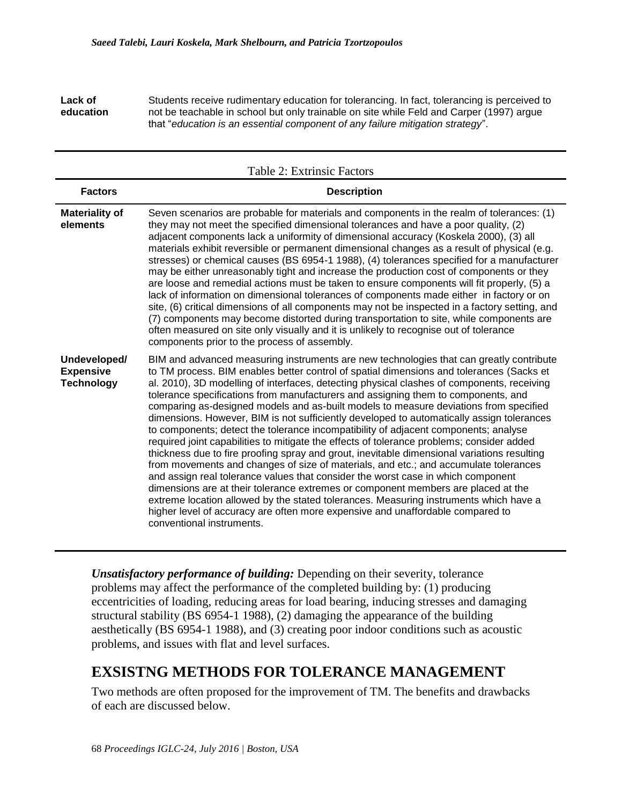**Lack of education** Students receive rudimentary education for tolerancing. In fact, tolerancing is perceived to not be teachable in school but only trainable on site while Feld and Carper (1997) argue that "*education is an essential component of any failure mitigation strategy*".

| Table 2: Extrinsic Factors                            |                                                                                                                                                                                                                                                                                                                                                                                                                                                                                                                                                                                                                                                                                                                                                                                                                                                                                                                                                                                                                                                                                                                                                                                                                                                                                                                          |  |
|-------------------------------------------------------|--------------------------------------------------------------------------------------------------------------------------------------------------------------------------------------------------------------------------------------------------------------------------------------------------------------------------------------------------------------------------------------------------------------------------------------------------------------------------------------------------------------------------------------------------------------------------------------------------------------------------------------------------------------------------------------------------------------------------------------------------------------------------------------------------------------------------------------------------------------------------------------------------------------------------------------------------------------------------------------------------------------------------------------------------------------------------------------------------------------------------------------------------------------------------------------------------------------------------------------------------------------------------------------------------------------------------|--|
| <b>Factors</b>                                        | <b>Description</b>                                                                                                                                                                                                                                                                                                                                                                                                                                                                                                                                                                                                                                                                                                                                                                                                                                                                                                                                                                                                                                                                                                                                                                                                                                                                                                       |  |
| <b>Materiality of</b><br>elements                     | Seven scenarios are probable for materials and components in the realm of tolerances: (1)<br>they may not meet the specified dimensional tolerances and have a poor quality, (2)<br>adjacent components lack a uniformity of dimensional accuracy (Koskela 2000), (3) all<br>materials exhibit reversible or permanent dimensional changes as a result of physical (e.g.<br>stresses) or chemical causes (BS 6954-1 1988), (4) tolerances specified for a manufacturer<br>may be either unreasonably tight and increase the production cost of components or they<br>are loose and remedial actions must be taken to ensure components will fit properly, (5) a<br>lack of information on dimensional tolerances of components made either in factory or on<br>site, (6) critical dimensions of all components may not be inspected in a factory setting, and<br>(7) components may become distorted during transportation to site, while components are<br>often measured on site only visually and it is unlikely to recognise out of tolerance<br>components prior to the process of assembly.                                                                                                                                                                                                                        |  |
| Undeveloped/<br><b>Expensive</b><br><b>Technology</b> | BIM and advanced measuring instruments are new technologies that can greatly contribute<br>to TM process. BIM enables better control of spatial dimensions and tolerances (Sacks et<br>al. 2010), 3D modelling of interfaces, detecting physical clashes of components, receiving<br>tolerance specifications from manufacturers and assigning them to components, and<br>comparing as-designed models and as-built models to measure deviations from specified<br>dimensions. However, BIM is not sufficiently developed to automatically assign tolerances<br>to components; detect the tolerance incompatibility of adjacent components; analyse<br>required joint capabilities to mitigate the effects of tolerance problems; consider added<br>thickness due to fire proofing spray and grout, inevitable dimensional variations resulting<br>from movements and changes of size of materials, and etc.; and accumulate tolerances<br>and assign real tolerance values that consider the worst case in which component<br>dimensions are at their tolerance extremes or component members are placed at the<br>extreme location allowed by the stated tolerances. Measuring instruments which have a<br>higher level of accuracy are often more expensive and unaffordable compared to<br>conventional instruments. |  |

*Unsatisfactory performance of building:* Depending on their severity, tolerance problems may affect the performance of the completed building by: (1) producing eccentricities of loading, reducing areas for load bearing, inducing stresses and damaging structural stability (BS 6954-1 1988), (2) damaging the appearance of the building aesthetically (BS 6954-1 1988), and (3) creating poor indoor conditions such as acoustic problems, and issues with flat and level surfaces.

# **EXSISTNG METHODS FOR TOLERANCE MANAGEMENT**

Two methods are often proposed for the improvement of TM. The benefits and drawbacks of each are discussed below.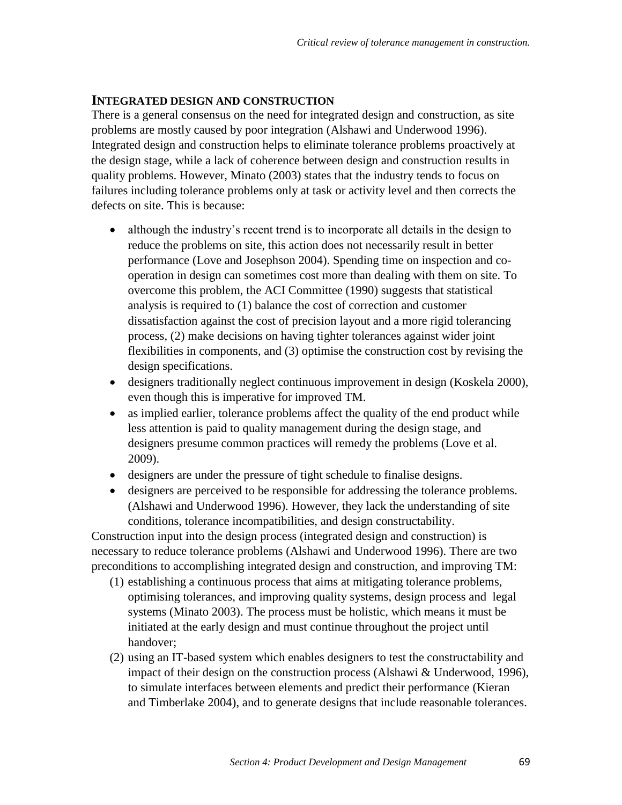#### **INTEGRATED DESIGN AND CONSTRUCTION**

There is a general consensus on the need for integrated design and construction, as site problems are mostly caused by poor integration (Alshawi and Underwood 1996). Integrated design and construction helps to eliminate tolerance problems proactively at the design stage, while a lack of coherence between design and construction results in quality problems. However, Minato (2003) states that the industry tends to focus on failures including tolerance problems only at task or activity level and then corrects the defects on site. This is because:

- although the industry's recent trend is to incorporate all details in the design to reduce the problems on site, this action does not necessarily result in better performance (Love and Josephson 2004). Spending time on inspection and cooperation in design can sometimes cost more than dealing with them on site. To overcome this problem, the ACI Committee (1990) suggests that statistical analysis is required to (1) balance the cost of correction and customer dissatisfaction against the cost of precision layout and a more rigid tolerancing process, (2) make decisions on having tighter tolerances against wider joint flexibilities in components, and (3) optimise the construction cost by revising the design specifications.
- designers traditionally neglect continuous improvement in design (Koskela 2000), even though this is imperative for improved TM.
- as implied earlier, tolerance problems affect the quality of the end product while less attention is paid to quality management during the design stage, and designers presume common practices will remedy the problems (Love et al. 2009).
- designers are under the pressure of tight schedule to finalise designs.
- designers are perceived to be responsible for addressing the tolerance problems. (Alshawi and Underwood 1996). However, they lack the understanding of site conditions, tolerance incompatibilities, and design constructability.

Construction input into the design process (integrated design and construction) is necessary to reduce tolerance problems (Alshawi and Underwood 1996). There are two preconditions to accomplishing integrated design and construction, and improving TM:

- (1) establishing a continuous process that aims at mitigating tolerance problems, optimising tolerances, and improving quality systems, design process and legal systems (Minato 2003). The process must be holistic, which means it must be initiated at the early design and must continue throughout the project until handover;
- (2) using an IT-based system which enables designers to test the constructability and impact of their design on the construction process (Alshawi  $&$  Underwood, 1996), to simulate interfaces between elements and predict their performance (Kieran and Timberlake 2004), and to generate designs that include reasonable tolerances.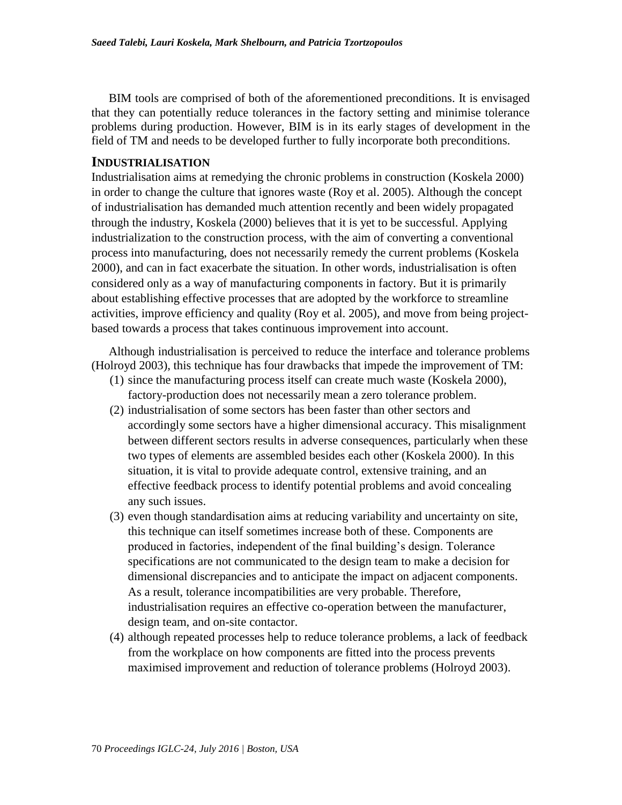BIM tools are comprised of both of the aforementioned preconditions. It is envisaged that they can potentially reduce tolerances in the factory setting and minimise tolerance problems during production. However, BIM is in its early stages of development in the field of TM and needs to be developed further to fully incorporate both preconditions.

#### **INDUSTRIALISATION**

Industrialisation aims at remedying the chronic problems in construction (Koskela 2000) in order to change the culture that ignores waste (Roy et al. 2005). Although the concept of industrialisation has demanded much attention recently and been widely propagated through the industry, Koskela (2000) believes that it is yet to be successful. Applying industrialization to the construction process, with the aim of converting a conventional process into manufacturing, does not necessarily remedy the current problems (Koskela 2000), and can in fact exacerbate the situation. In other words, industrialisation is often considered only as a way of manufacturing components in factory. But it is primarily about establishing effective processes that are adopted by the workforce to streamline activities, improve efficiency and quality (Roy et al. 2005), and move from being projectbased towards a process that takes continuous improvement into account.

Although industrialisation is perceived to reduce the interface and tolerance problems (Holroyd 2003), this technique has four drawbacks that impede the improvement of TM:

- (1) since the manufacturing process itself can create much waste (Koskela 2000), factory-production does not necessarily mean a zero tolerance problem.
- (2) industrialisation of some sectors has been faster than other sectors and accordingly some sectors have a higher dimensional accuracy. This misalignment between different sectors results in adverse consequences, particularly when these two types of elements are assembled besides each other (Koskela 2000). In this situation, it is vital to provide adequate control, extensive training, and an effective feedback process to identify potential problems and avoid concealing any such issues.
- (3) even though standardisation aims at reducing variability and uncertainty on site, this technique can itself sometimes increase both of these. Components are produced in factories, independent of the final building's design. Tolerance specifications are not communicated to the design team to make a decision for dimensional discrepancies and to anticipate the impact on adjacent components. As a result, tolerance incompatibilities are very probable. Therefore, industrialisation requires an effective co-operation between the manufacturer, design team, and on-site contactor.
- (4) although repeated processes help to reduce tolerance problems, a lack of feedback from the workplace on how components are fitted into the process prevents maximised improvement and reduction of tolerance problems (Holroyd 2003).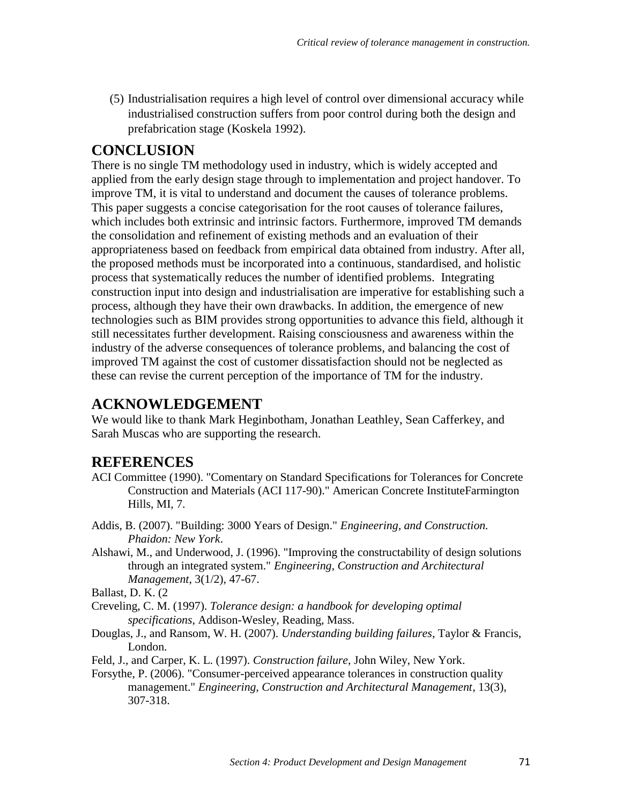(5) Industrialisation requires a high level of control over dimensional accuracy while industrialised construction suffers from poor control during both the design and prefabrication stage (Koskela 1992).

## **CONCLUSION**

There is no single TM methodology used in industry, which is widely accepted and applied from the early design stage through to implementation and project handover. To improve TM, it is vital to understand and document the causes of tolerance problems. This paper suggests a concise categorisation for the root causes of tolerance failures, which includes both extrinsic and intrinsic factors. Furthermore, improved TM demands the consolidation and refinement of existing methods and an evaluation of their appropriateness based on feedback from empirical data obtained from industry. After all, the proposed methods must be incorporated into a continuous, standardised, and holistic process that systematically reduces the number of identified problems. Integrating construction input into design and industrialisation are imperative for establishing such a process, although they have their own drawbacks. In addition, the emergence of new technologies such as BIM provides strong opportunities to advance this field, although it still necessitates further development. Raising consciousness and awareness within the industry of the adverse consequences of tolerance problems, and balancing the cost of improved TM against the cost of customer dissatisfaction should not be neglected as these can revise the current perception of the importance of TM for the industry.

## **ACKNOWLEDGEMENT**

We would like to thank Mark Heginbotham, Jonathan Leathley, Sean Cafferkey, and Sarah Muscas who are supporting the research.

## **REFERENCES**

- ACI Committee (1990). "Comentary on Standard Specifications for Tolerances for Concrete Construction and Materials (ACI 117-90)." American Concrete InstituteFarmington Hills, MI, 7.
- Addis, B. (2007). "Building: 3000 Years of Design." *Engineering, and Construction. Phaidon: New York*.
- Alshawi, M., and Underwood, J. (1996). "Improving the constructability of design solutions through an integrated system." *Engineering, Construction and Architectural Management*, 3(1/2), 47-67.

Ballast, D. K. (2

- Creveling, C. M. (1997). *Tolerance design: a handbook for developing optimal specifications*, Addison-Wesley, Reading, Mass.
- Douglas, J., and Ransom, W. H. (2007). *Understanding building failures*, Taylor & Francis, London.
- Feld, J., and Carper, K. L. (1997). *Construction failure*, John Wiley, New York.
- Forsythe, P. (2006). "Consumer-perceived appearance tolerances in construction quality management." *Engineering, Construction and Architectural Management*, 13(3), 307-318.